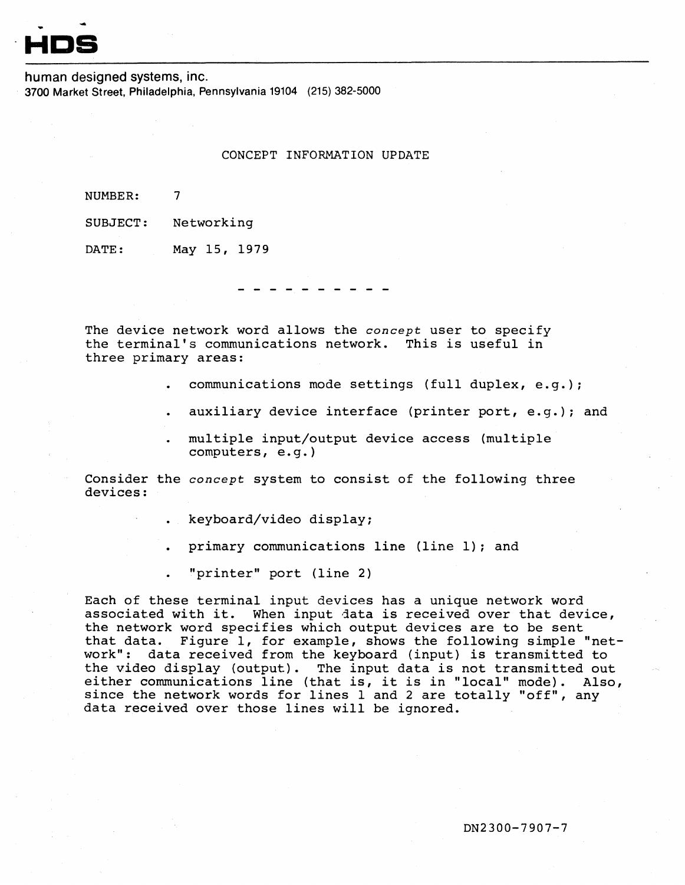human designed systems, inc. 3700 Market Street, Philadelphia, Pennsylvania 19104 (215) 382-5000

## CONCEPT INFORMATION UPDATE

NUMBER: 7

...

**HDS** 

SUBJECT: Networking

DATE: May 15, 1979

The device network word allows the *concept* user to specify the terminal's communications network. This is useful in three primary areas:

- communications mode settings (full duplex, e.g.);
- auxiliary device interface (printer port, e.g.); and
- multiple input/output device access (multiple computers, e.g.)

Consider the *concept* system to consist of the following three devices:

- keyboard/video display;
- primary communications line (line 1); and
- "printer" port (line 2)

Each of these terminal input devices has a unique network word associated with it. When input data is received over that device, the network word specifies which output devices are to be sent that data. Figure 1, for example, shows the following simple "network": data received from the keyboard (input) is transmitted to the video display (output). The input data is not transmitted out either communications line (that is, it is in "local" mode). Also, since the network words for lines 1 and 2 are totally "off", any data received over those lines will be ignored.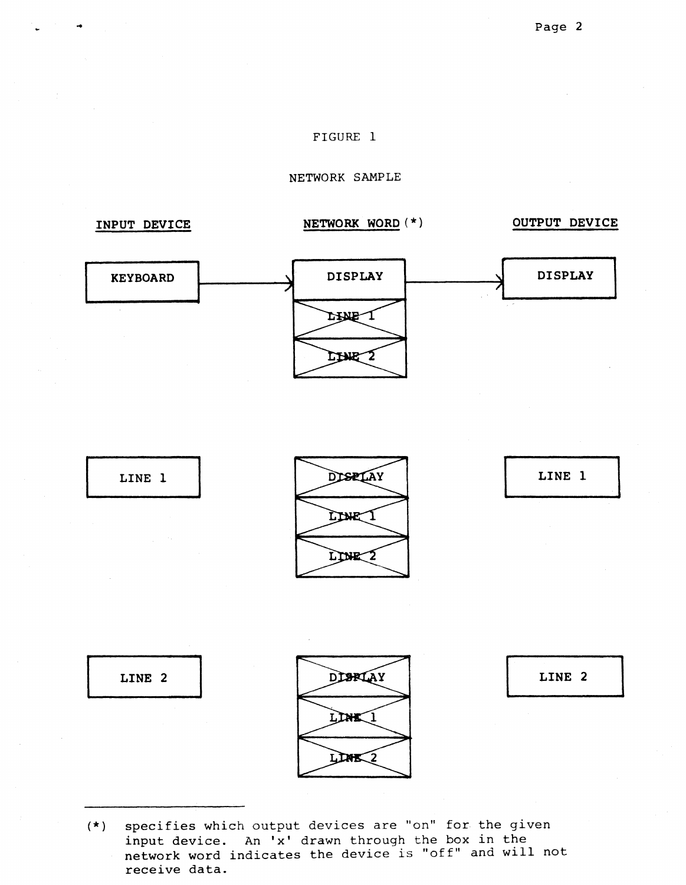LINE 2 DISPURY LINE 2 LINK 1 LINK<sub>2</sub>

I



LINE 1 **DISPLAY** | LINE 1

LINE 1

LINE 2

# INPUT DEVICE NETWORK WORD<sup>(\*)</sup> OUTPUT DEVICE

## NETWORK SAMPLE

# FIGURE 1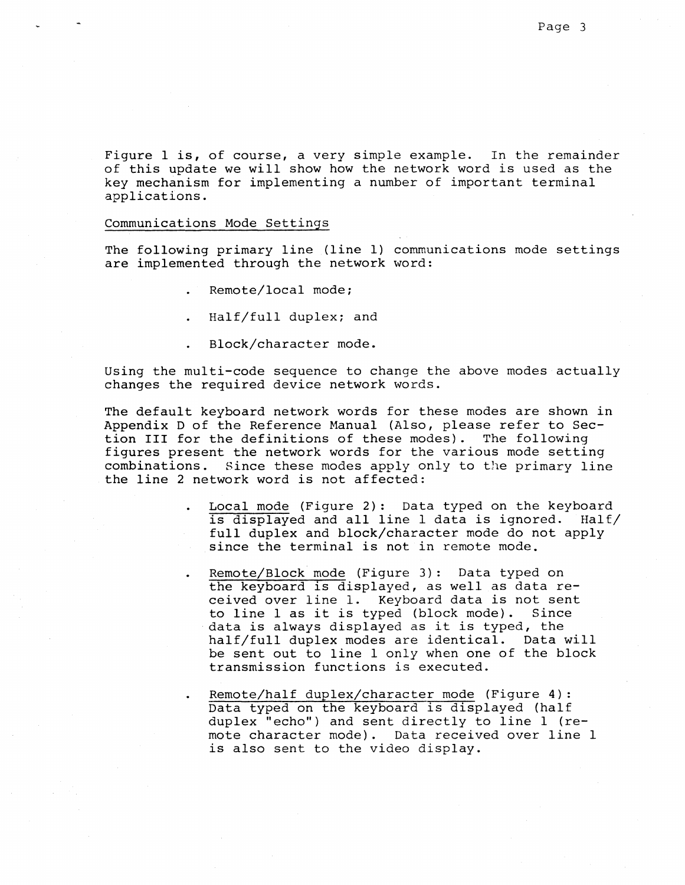Figure 1 is, of course, a very simple example. In the remainder of this update we will show how the network word is used as the key mechanism for implementing a number of important terminal applications.

## Communications Mode Settings

The following primary line (line 1) communications mode settings are implemented through the network word:

- Remote/local mode;
- Half/full duplex; and
- Block/character mode.

Using the multi-code sequence to change the above modes actually changes the required device network words.

The default keyboard network words for these modes are shown in Appendix D of the Reference Manual (Also, please refer to Section III for the definitions of these modes). The following figures present the network words for the various mode setting combinations. Since these modes apply only to the primary line the line 2 network word is not affected:

- Local mode (Figure 2): Data typed on the keyboard<br>is displayed and all line 1 data is ignored. Half/ is displayed and all line 1 data is ignored. full duplex and block/character mode do not apply since the terminal is not in remote mode.
- Remote/Block mode (Figure 3): Data typed on the keyboard is displayed, as well as data received over line 1. Keyboard data is not sent to line 1 as it is typed (block mode). Since data is always displayed as it is typed, the half/full duplex modes are identical. Data will be sent out to line 1 only when one of the block transmission functions is executed.
- Remote/half duplex/character mode (Figure 4): Data typed on the keyboard is displayed (half duplex "echo") and sent directly to line 1 (remote character mode). Data received over line 1 is also sent to the video display.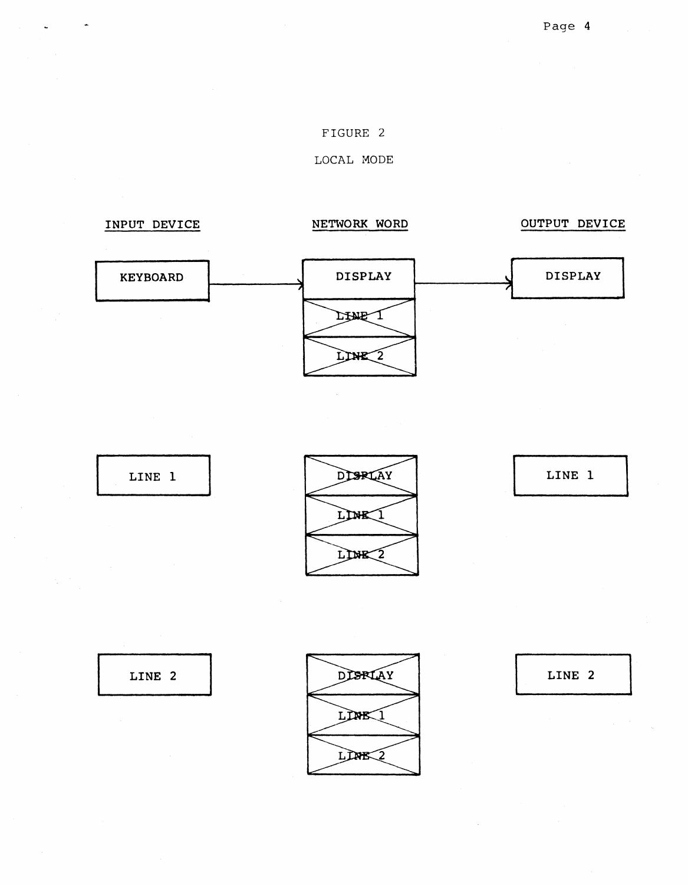LOCAL MODE

**INPUT DEVICE** 

# **NETWORK WORD**

**OUTPUT DEVICE** 



**LINE 1** 



**LINE 1** I

**LINE 2** 



**LINE 2**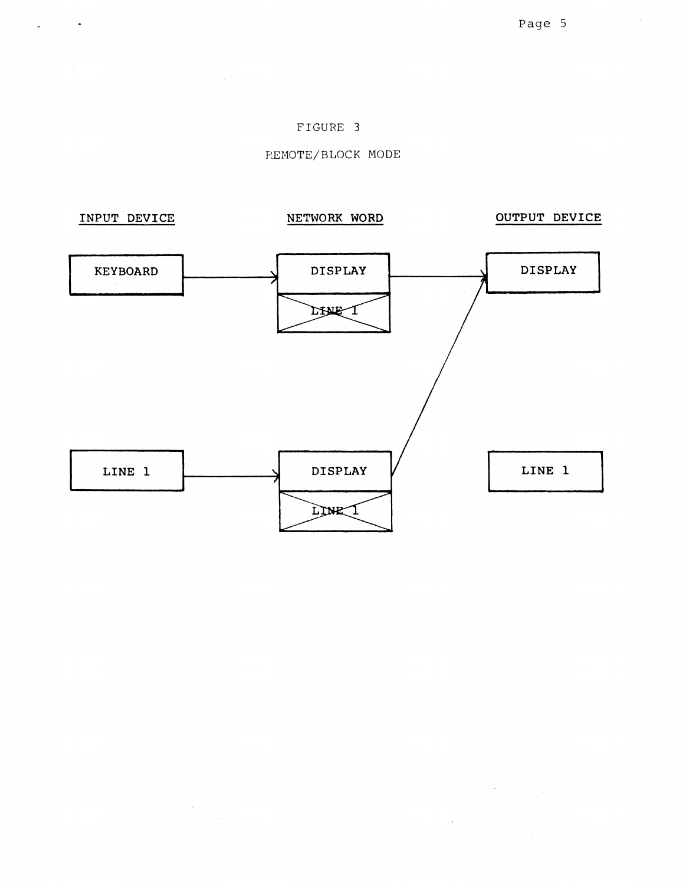

# REMOTE/BLOCK MODE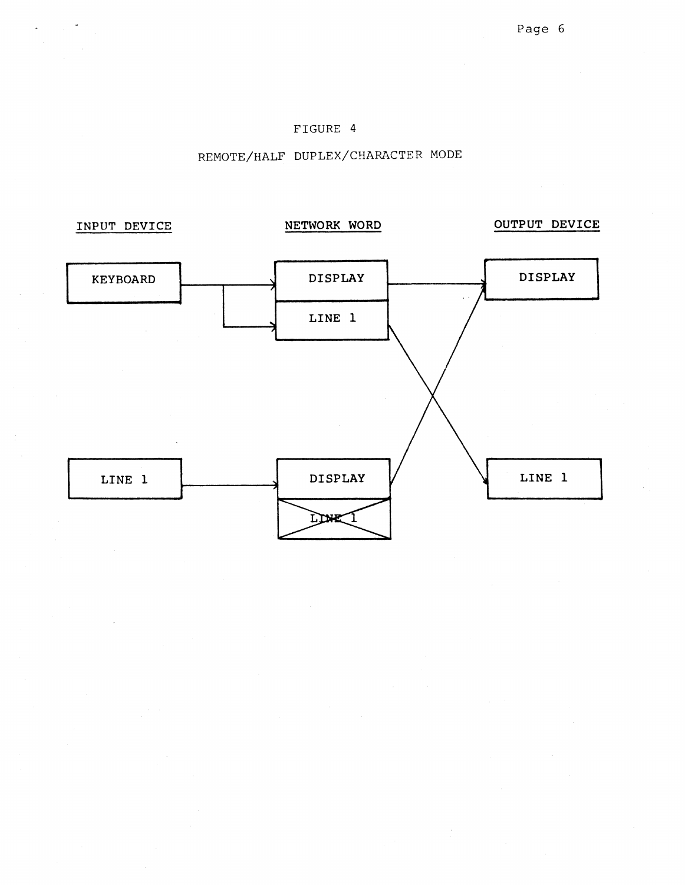

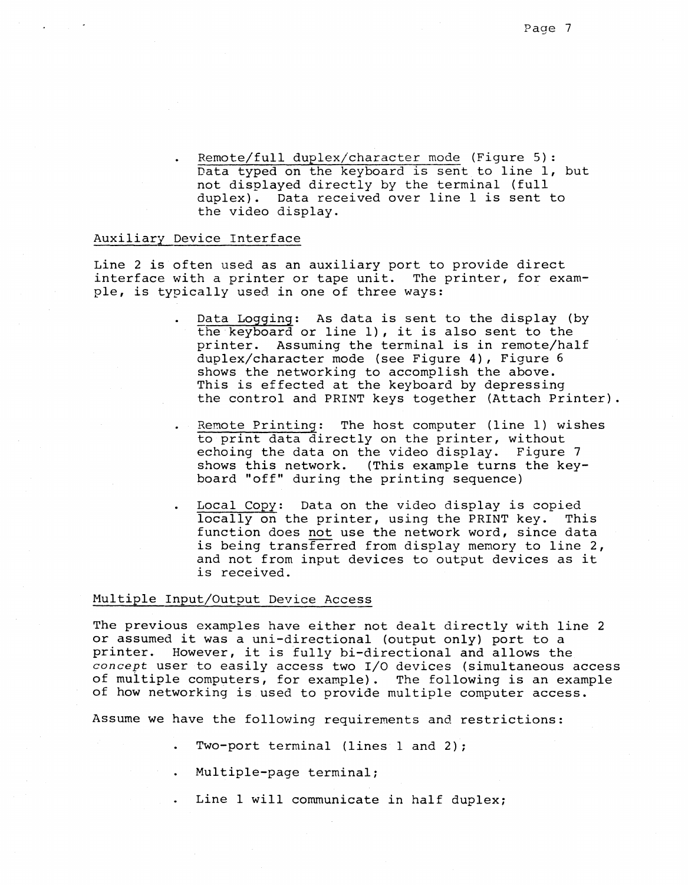Remote/full duplex/character mode (Figure 5): Data typed on the keyboard is sent to line 1, but not displayed directly by the terminal (full duplex). Data received over line 1 is sent to the video display.

#### Auxiliary Device Interface

Line 2 is often used as an auxiliary port to provide direct interface with a printer or tape unit. The printer, for example, is typically used in one of three ways:

- Data Logging: As data is sent to the display (by the keyboard or line  $l$ ), it is also sent to the printer. Assuming the terminal is in remote/half duplex/character mode (see Figure 4), Figure 6 shows the networking to accomplish the above. This is effected at the keyboard by depressing the control and PRINT keys together (Attach Printer).
- Remote Printing: The host computer (line 1) wishes to print data directly on the printer, without echoing the data on the video display. Figure 7<br>shows this network. (This example turns the key-(This example turns the keyboard "off" during the printing sequence)
- Local Copy: Data on the video display is copied locally on the printer, using the PRINT key. This function does not use the network word, since data is being transferred from display memory to line 2, and not from input devices to output devices as it is received.

### Multiple Input/Output Device Access

The previous examples have either not dealt directly with line 2 or assumed it was a uni-directional (output only) port to a printer. However, it is fully bi-directional and allows the *concept* user to easily access two I/O devices (simultaneous access of multiple computers, for example). The following is an example of how networking is used to provide multiple computer access.

Assume we have the following requirements and restrictions:

- Two-port terminal (lines 1 and 2);
- Multiple-page terminal;
- Line 1 will communicate in half duplex;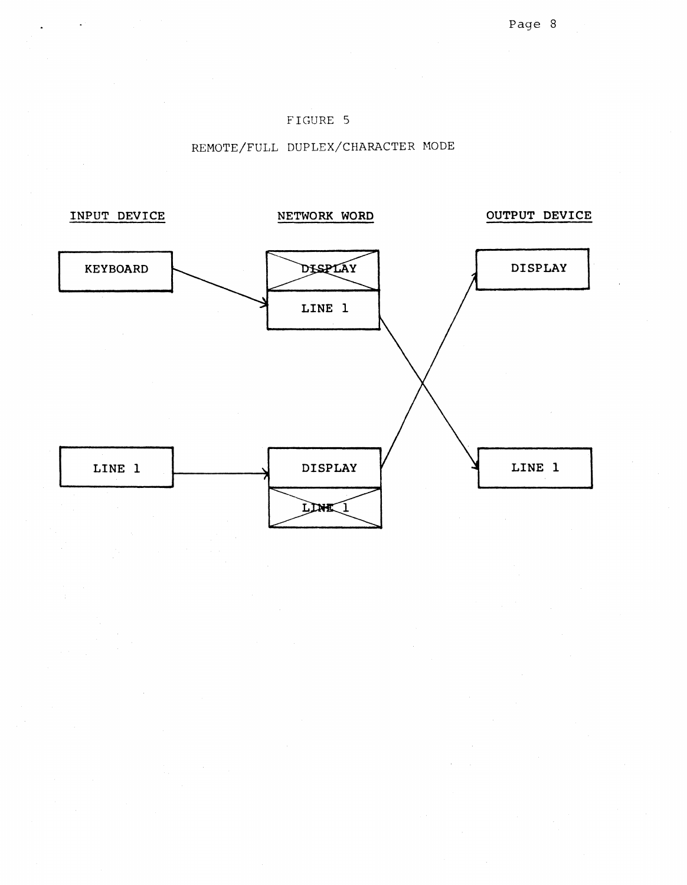# REMOTE/FULL DUPLEX/CHARACTER HODE

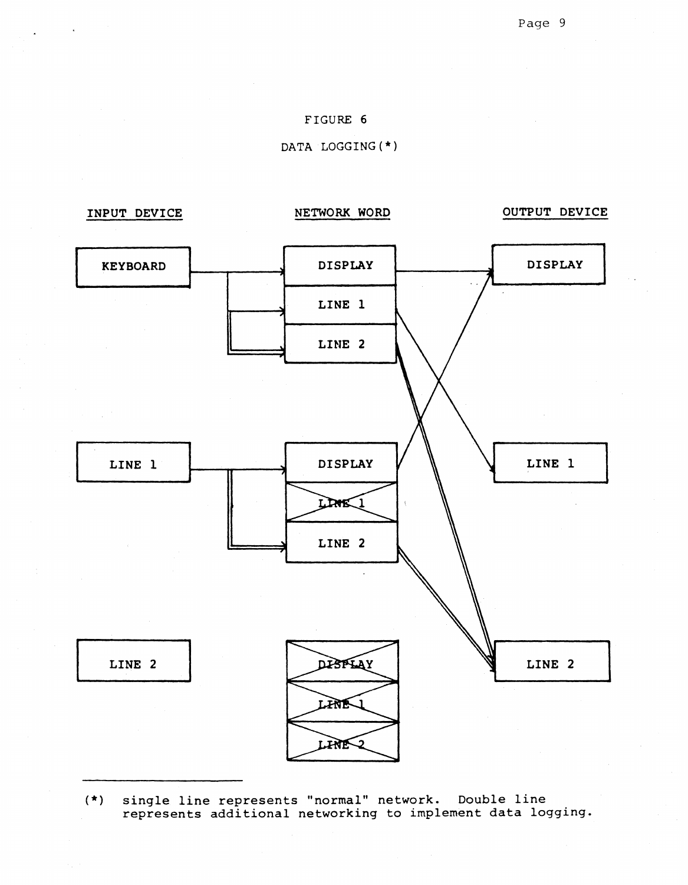DATA LOGGING(\*)

![](_page_8_Figure_3.jpeg)

(\*) single line represents "normal" network. Double line represents additional networking to implement data logging.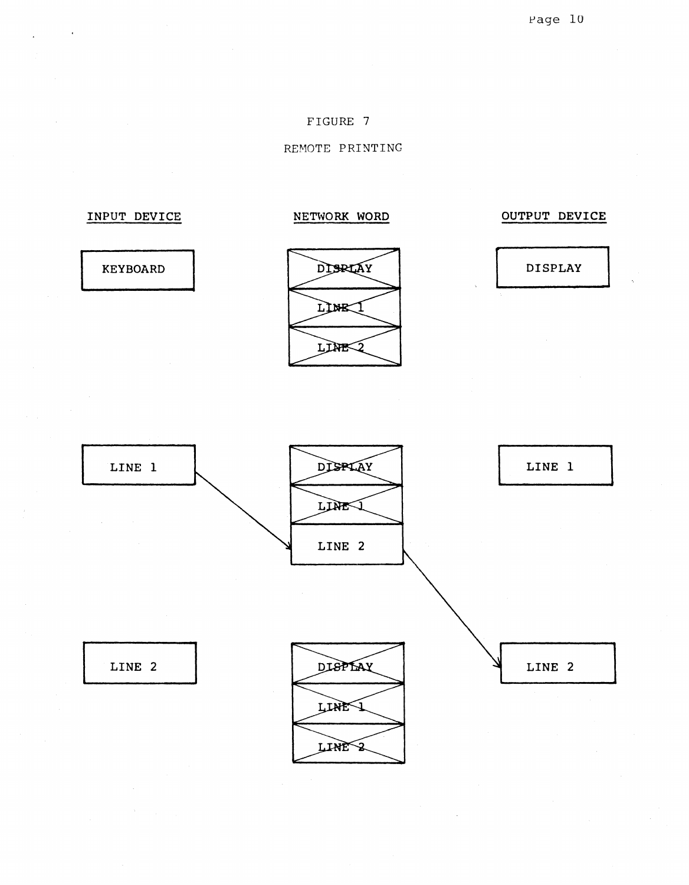![](_page_9_Figure_0.jpeg)

**KEYBOARD** 

DISRIAY LINE

I **DISPLAY** 

**INPUT DEVICE** 

# NETWORK WORD

**OUTPUT DEVICE** 

REMOTE PRINTING

FIGURE 7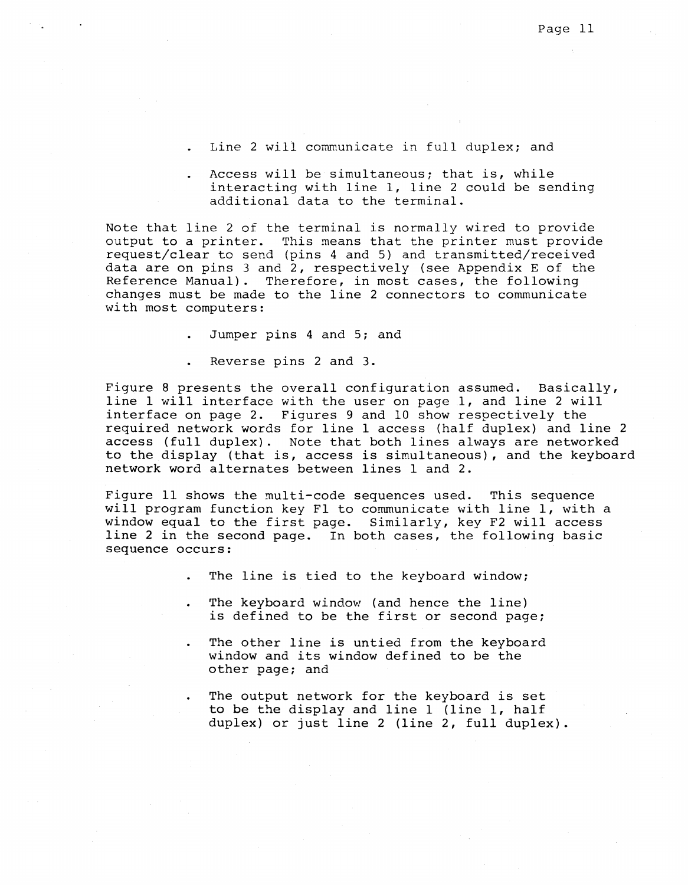- Line 2 will communicate in full duplex; and
- Access will be simultaneous; that is, while interacting with line 1, line 2 could be sending additional data to the terminal.

Note that line 2 of the terminal is normally wired to provide output to a printer. This means that the printer must provide request/clear to send (pins 4 and 5) and transmitted/received data are on pins 3 and 2, respectively (see Appendix E of the Reference Manual). Therefore, in most cases, the following changes must be made to the line 2 connectors to communicate with most computers:

- Jumper pins 4 and 5; and
- Reverse pins 2 and 3.

Figure 8 presents the overall configuration assumed. Basically, line 1 will interface with the user on page 1, and line 2 will interface on page 2. Figures 9 and 10 show respectively the required network words for line 1 access (half duplex) and line 2 access (full duplex). Note that both lines always are networked to the display (that is, access is simultaneous), and the keyboard network word alternates between lines 1 and 2.

Figure 11 shows the multi-code sequences used. This sequence will program function key F1 to communicate with line 1, with a window equal to the first page. Similarly, key F2 will access line 2 in the second page. In both cases, the following basic sequence occurs:

- The line is tied to the keyboard window;
- The keyboard window (and hence the line) is defined to be the first or second page;
- The other line is untied from the keyboard window and its window defined to be the other page; and
- The output network for the keyboard is set to be the display and line 1 (line 1, half duplex) or just line 2 (line 2, full duplex).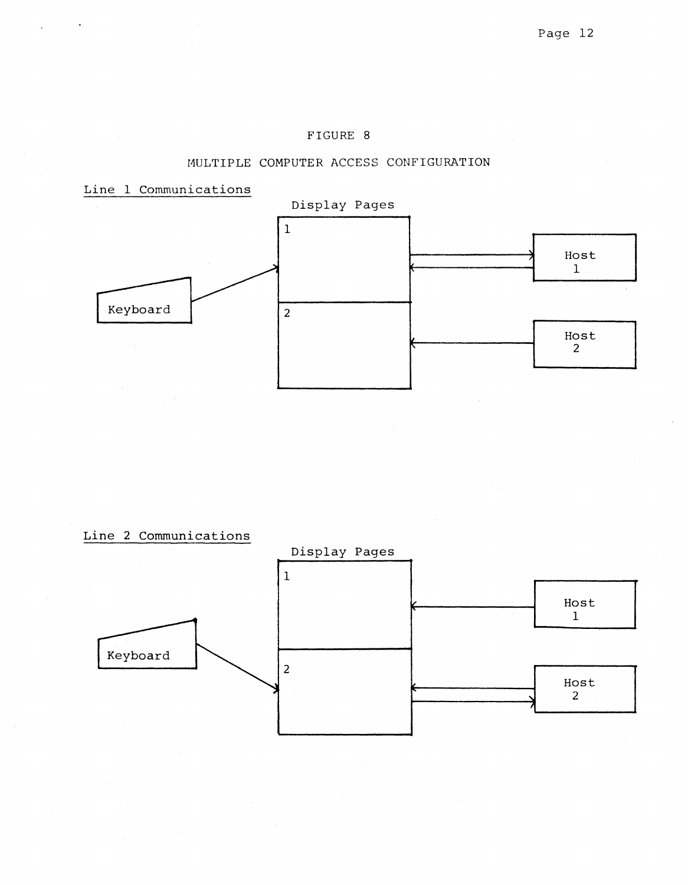## MULTIPLE COMPUTER ACCESS CONFIGURATION

![](_page_11_Figure_3.jpeg)

![](_page_11_Figure_4.jpeg)

![](_page_11_Figure_5.jpeg)

![](_page_11_Figure_6.jpeg)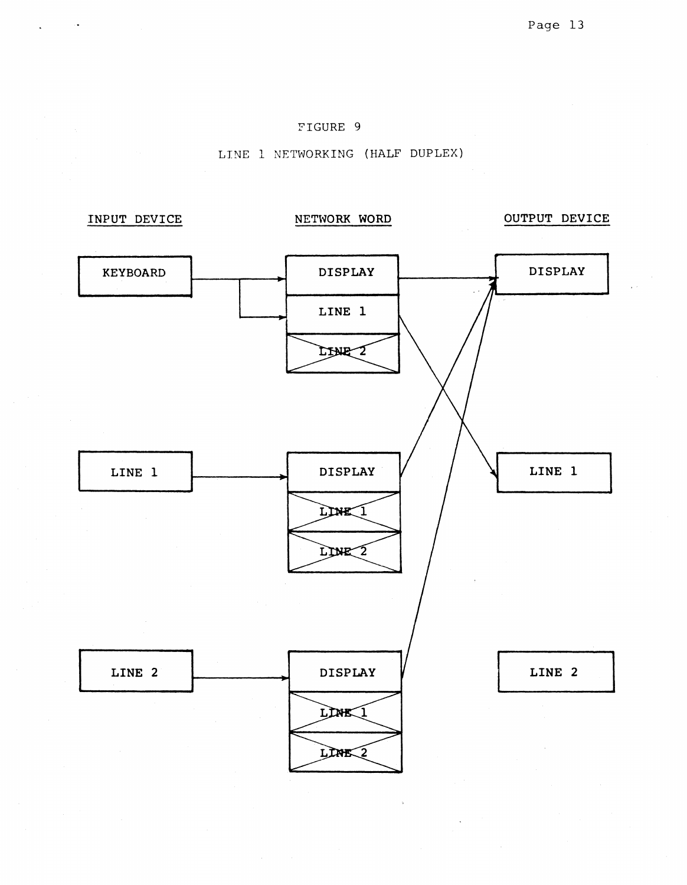![](_page_12_Figure_2.jpeg)

INPUT DEVICE NETWORK WORD OUTPUT DEVICE

![](_page_12_Figure_6.jpeg)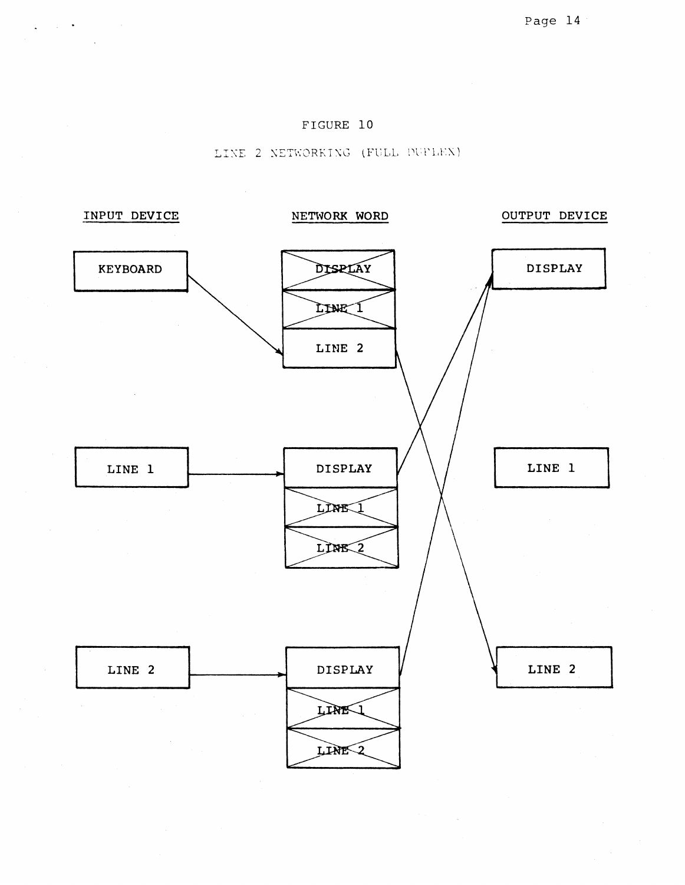## LINE 2 NETWORKING (FULL DUPLEX)

![](_page_13_Figure_3.jpeg)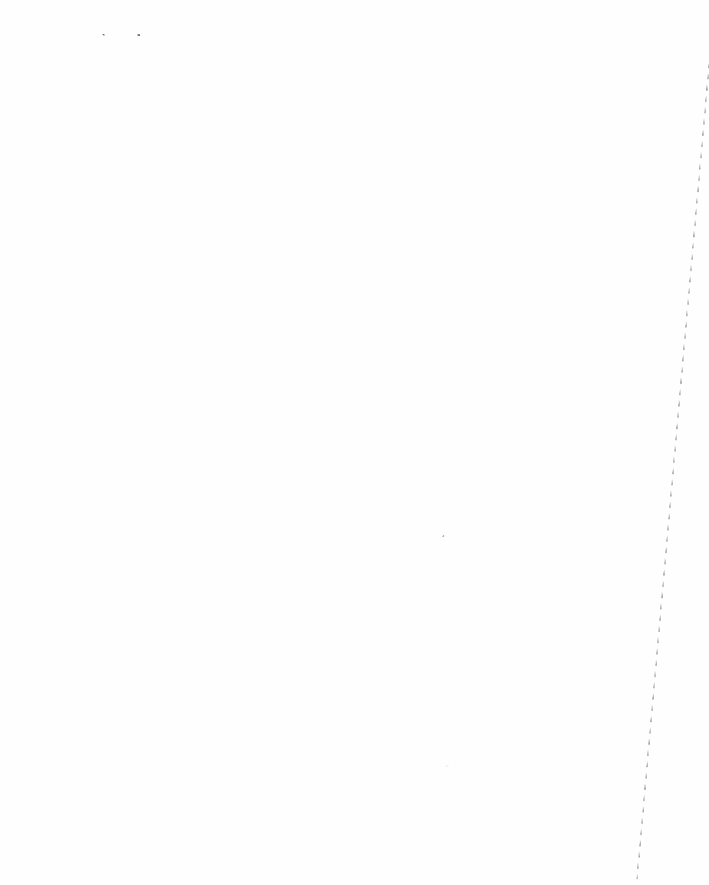$\ddot{\phantom{1}}$ 

 $\mathbf{1}$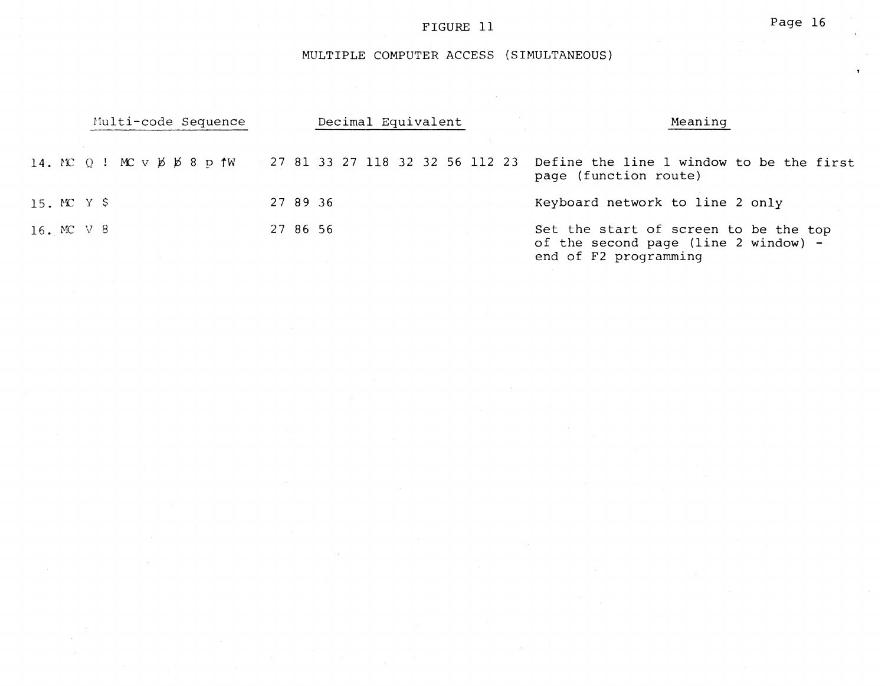# FIGURE 11 Page 16

# MULTIPLE COMPUTER ACCESS (SIMULTANEOUS)

|             | Multi-code Sequence                                             | Decimal Equivalent | Meaning                                                                                                |
|-------------|-----------------------------------------------------------------|--------------------|--------------------------------------------------------------------------------------------------------|
|             | 14. NC $Q$ ! MC $V$ $\cancel{p}$ $\cancel{p}$ 8 $\cancel{p}$ fW |                    | 27 81 33 27 118 32 32 56 112 23 Define the line 1 window to be the first<br>page (function route)      |
| 15. MC Y \$ |                                                                 | 27 89 36           | Keyboard network to line 2 only                                                                        |
| 16. MC V 8  |                                                                 | 27 86 56           | Set the start of screen to be the top<br>of the second page (line 2 window) -<br>end of F2 programming |

 $\overline{\mathbf{1}}$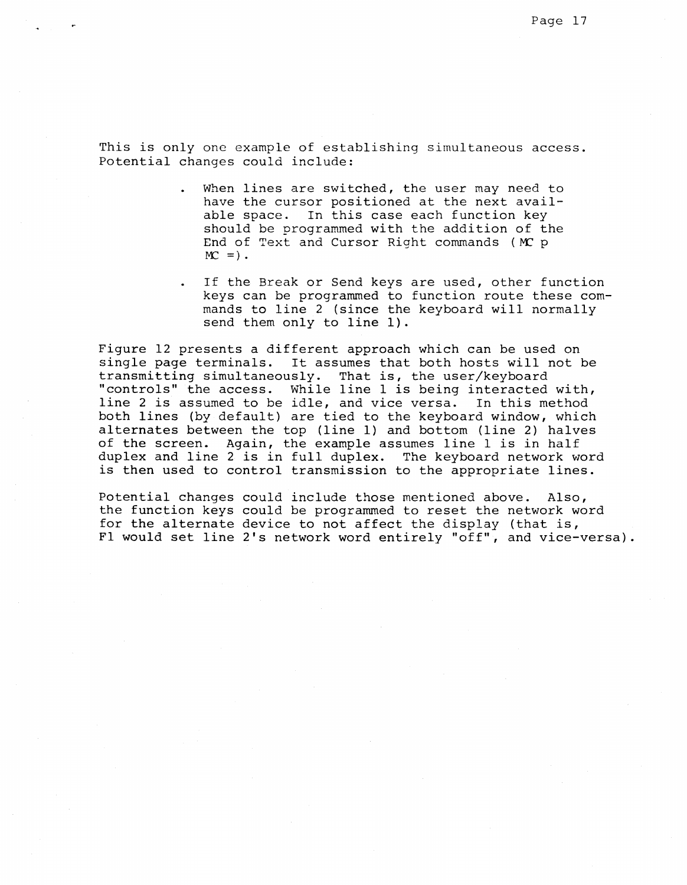This is only one example of establishing simultaneous access. Potential changes could include:

- When lines are switched, the user may need to have the cursor positioned at the next available space. In this case each function key should be programmed with the addition of the End of Text and Cursor Right commands (MC p  $MC =$ ).
- If the Break or Send keys are used, other function keys can be programmed to function route these commands to line 2 (since the keyboard will normally send them only to line 1).

Figure 12 presents a different approach which can be used on single page terminals. It assumes that both hosts will not be transmitting simultaneously. That is, the user/keyboard "controls" the access. While line 1 is being interacted with, line 2 is assumed to be idle, and vice versa. In this method both lines (by default) are tied to the keyboard window, which alternates between the top (line 1) and bottom (line 2) halves of the screen. Again, the example assumes line 1 is in half duplex and line 2 is in full duplex. The keyboard network word is then used to control transmission to the appropriate lines.

Potential changes could include those mentioned above. Also, the function keys could be programmed to reset the network word for the alternate device to not affect the display (that is, Fl would set line 2's network word entirely "off", and vice-versa).